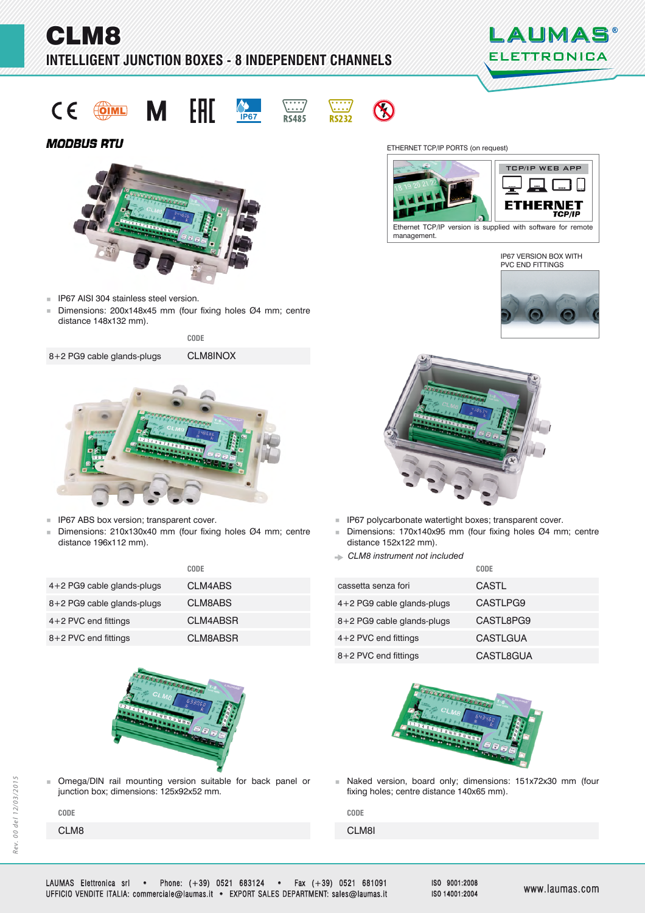# CLM8 **INTELLIGENT JUNCTION BOXES - 8 INDEPENDENT CHANNELS**













# **MODBUS RTU**



- **IP67 AISI 304 stainless steel version.**
- Dimensions: 200x148x45 mm (four fixing holes Ø4 mm; centre distance 148x132 mm).

**CODE**

8+2 PG9 cable glands-plugs

CLM8INOX



- **IP67 ABS box version; transparent cover.**
- Dimensions: 210x130x40 mm (four fixing holes Ø4 mm; centre distance 196x112 mm).

|                            | CODE            |                              | CODE |
|----------------------------|-----------------|------------------------------|------|
| 4+2 PG9 cable glands-plugs | CLM4ABS         | cassetta senza fori          | CAS  |
| 8+2 PG9 cable glands-plugs | <b>CLM8ABS</b>  | $4+2$ PG9 cable glands-plugs | CAS  |
| $4+2$ PVC end fittings     | <b>CLM4ABSR</b> | 8+2 PG9 cable glands-plugs   | CAS  |
| 8+2 PVC end fittings       | <b>CLM8ABSR</b> | $4+2$ PVC end fittings       | CAS  |
|                            |                 |                              |      |



Omega/DIN rail mounting version suitable for back panel or iunction box: dimensions: 125x92x52 mm.

CLM8 CLM8I CLM8I CLM8I CLM8I CLM8I CLM8I CLM8I CLM8I CLM8I CLM8I **CODE CODE**

ETHERNET TCP/IP PORTS (on request)







- **IP67 polycarbonate watertight boxes; transparent cover.**
- Dimensions: 170x140x95 mm (four fixing holes Ø4 mm; centre distance 152x122 mm).
- *CLM8 instrument not included*

| .        |                              | <u>.</u>        |
|----------|------------------------------|-----------------|
| CLM4ABS  | cassetta senza fori          | <b>CASTL</b>    |
| CLM8ABS  | $4+2$ PG9 cable glands-plugs | CASTLPG9        |
| CLM4ABSR | 8+2 PG9 cable glands-plugs   | CASTL8PG9       |
| CLM8ABSR | $4+2$ PVC end fittings       | <b>CASTLGUA</b> |
|          | 8+2 PVC end fittings         | CASTL8GUA       |



unchaked version, board only; dimensions: 151x72x30 mm (four fixing holes; centre distance 140x65 mm).

ISO 9001:2008 ISO 14001:2004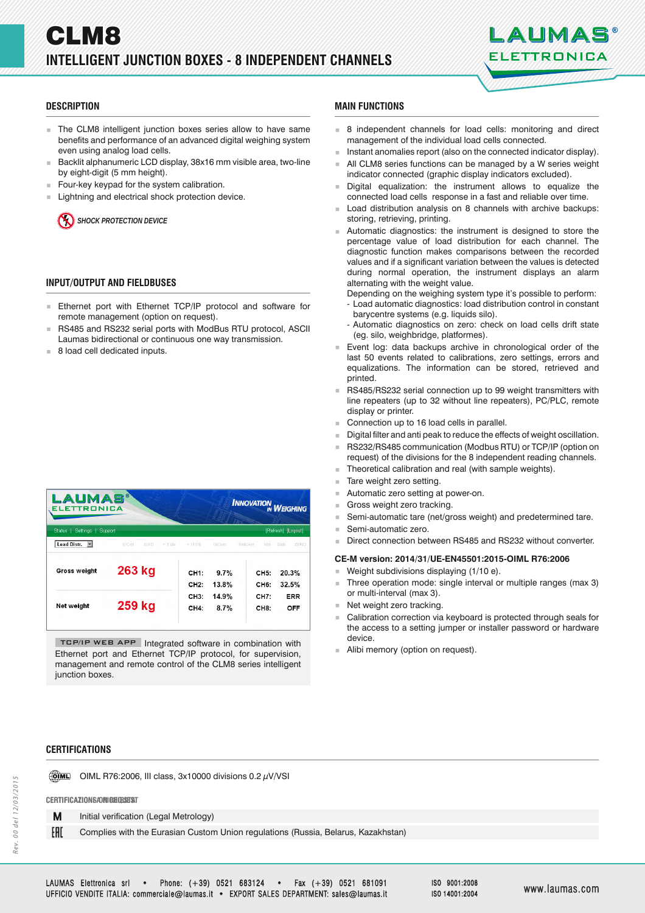

# **DESCRIPTION ESCRIPTION**

- The CLM8 intelligent junction boxes series allow to have same benefits and performance of an advanced digital weighing system even using analog load cells.
- Backlit alphanumeric LCD display, 38x16 mm visible area, two-line by eight-digit (5 mm height).
- Four-key keypad for the system calibration.
- Lightning and electrical shock protection device.

*SHOCK PROTECTION DEVICE*

# **INPUT/OUTPUT AND FIELDBUSES**

- **Ethernet port with Ethernet TCP/IP protocol and software for** remote management (option on request).
- RS485 and RS232 serial ports with ModBus RTU protocol, ASCII Laumas bidirectional or continuous one way transmission.
- 8 load cell dedicated inputs.

| <b>LAUMAS®</b><br><b>ELETTRONICA</b> |                  |                                |                                  |                                                            |
|--------------------------------------|------------------|--------------------------------|----------------------------------|------------------------------------------------------------|
| Support                              |                  |                                |                                  | [Refresh] [Logout]                                         |
| ErCell<br>ErAD.                      | >110%            | GrOver                         | Net                              | ZERO<br>Stab                                               |
| 263 kg                               | CH <sub>1:</sub> | 9.7%                           | CH5:                             | 20.3%                                                      |
| 259 kg                               | CH3:<br>CH4:     | 14.9%<br>8.7%                  | <b>CH7:</b><br>CH <sub>8</sub> : | 32.5%<br><b>ERR</b><br>OFF                                 |
|                                      |                  | $> 9$ dis<br>CH <sub>2</sub> : | 13.8%                            | <b>INNOVATION WEIGHING</b><br>NetOver<br>CH <sub>6</sub> : |

TCP/IP WEB APP Integrated software in combination with Ethernet port and Ethernet TCP/IP protocol, for supervision, management and remote control of the CLM8 series intelligent junction boxes.

# **CERTIFICATIONS ERTIFICATIONS**

**OIML** OIML R76:2006, III class,  $3x10000$  divisions  $0.2 \mu$ V/VSI

#### **CERTIFICAZIONI A RICHIESTA ERTIFICAZIONI A CERTIFICATIONS ON REQUEST**

M Initial verification (Legal Metrology)

EAD Complies with the Eurasian Custom Union regulations (Russia, Belarus, Kazakhstan)

- **MAIN FUNCTIONS**
- 8 independent channels for load cells: monitoring and direct management of the individual load cells connected.
- Instant anomalies report (also on the connected indicator display).
- All CLM8 series functions can be managed by a W series weight indicator connected (graphic display indicators excluded).
- Digital equalization: the instrument allows to equalize the connected load cells response in a fast and reliable over time.
- Load distribution analysis on 8 channels with archive backups: storing, retrieving, printing.
- Automatic diagnostics: the instrument is designed to store the percentage value of load distribution for each channel. The diagnostic function makes comparisons between the recorded values and if a significant variation between the values is detected during normal operation, the instrument displays an alarm alternating with the weight value.

Depending on the weighing system type it's possible to perform: - Load automatic diagnostics: load distribution control in constant

- barycentre systems (e.g. liquids silo).
- Automatic diagnostics on zero: check on load cells drift state (eg. silo, weighbridge, platformes).
- Event log: data backups archive in chronological order of the last 50 events related to calibrations, zero settings, errors and equalizations. The information can be stored, retrieved and printed.
- RS485/RS232 serial connection up to 99 weight transmitters with line repeaters (up to 32 without line repeaters), PC/PLC, remote display or printer.
- Connection up to 16 load cells in parallel.
- Digital filter and anti peak to reduce the effects of weight oscillation.
- RS232/RS485 communication (Modbus RTU) or TCP/IP (option on request) of the divisions for the 8 independent reading channels.
- Theoretical calibration and real (with sample weights).
- Tare weight zero setting.
- Automatic zero setting at power-on.
- Gross weight zero tracking.
- Semi-automatic tare (net/gross weight) and predetermined tare.
- Semi-automatic zero.
- Direct connection between RS485 and RS232 without converter.

### **CE-M version: 2014/31/UE-EN45501:2015-OIML R76:2006**

- Weight subdivisions displaying (1/10 e).
- Three operation mode: single interval or multiple ranges (max 3) or multi-interval (max 3).
- Net weight zero tracking.
- Calibration correction via keyboard is protected through seals for the access to a setting jumper or installer password or hardware device.
- Alibi memory (option on request).

ISO 9001:2008 ISO 14001:2004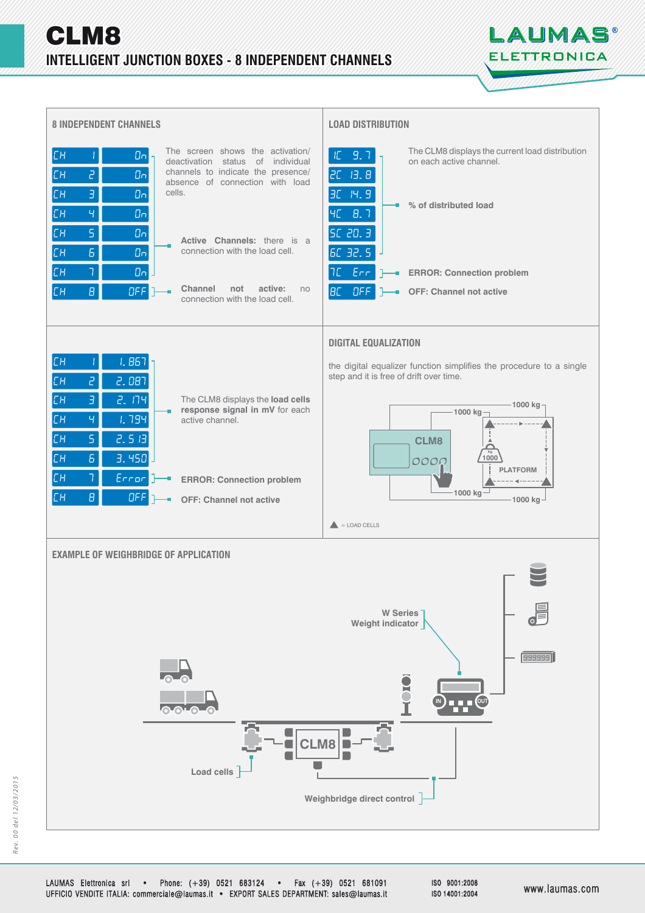



LAUMAS Elettronica srl • Phone: (+39) 0521 683124 • Fax (+39) 0521 681091 UFFICIO VENDITE ITALIA: commerciale@laumas.it • EXPORT SALES DEPARTMENT: sales@laumas.it FFICIO www.laumas.com ww.laumas.com

ISO 9001:2008 ISO 14001:2004